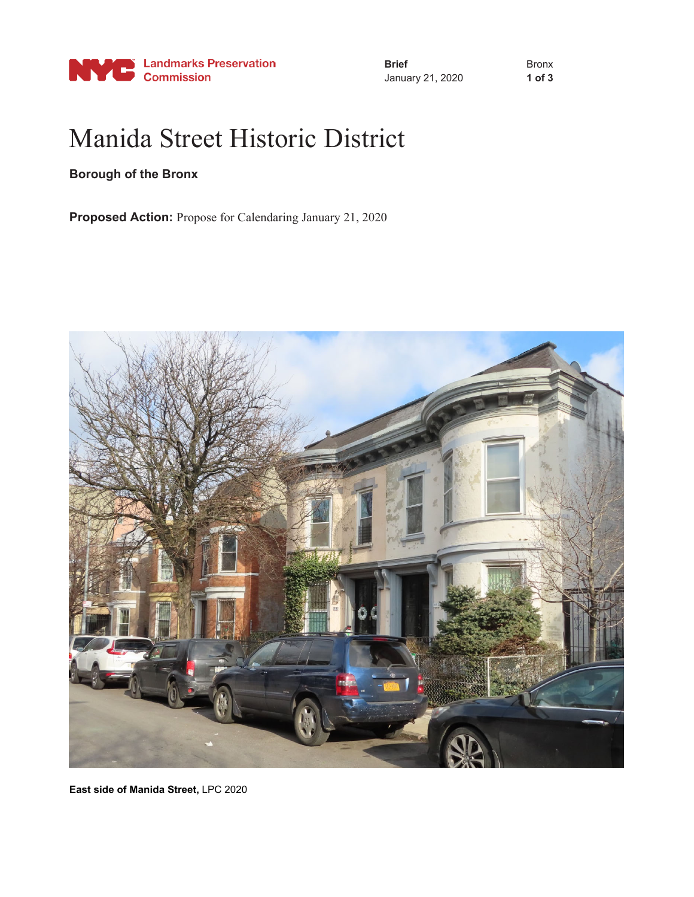

**Brief** January 21, 2020 Bronx **1 of 3**

## Manida Street Historic District

## **Borough of the Bronx**

**Proposed Action:** Propose for Calendaring January 21, 2020



**East side of Manida Street,** LPC 2020